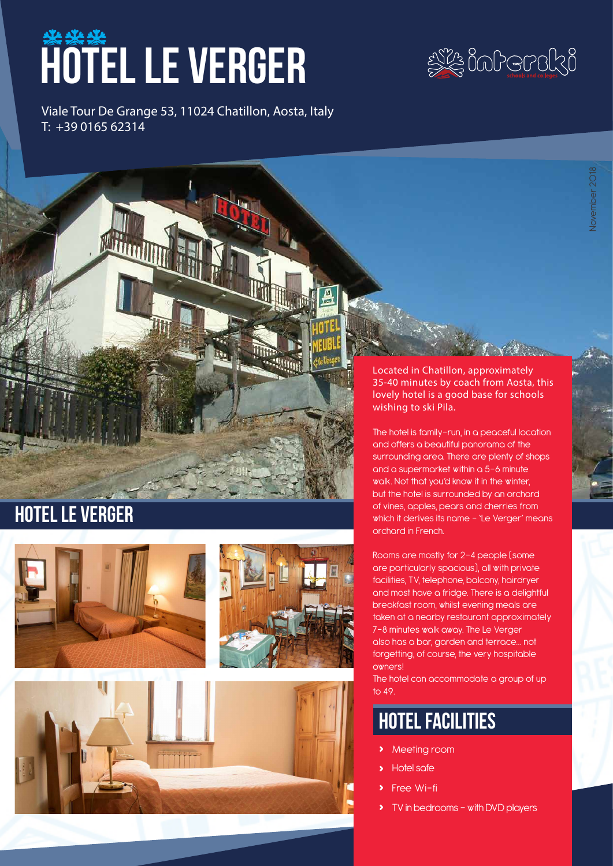# hotel le verger

Viale Tour De Grange 53, 11024 Chatillon, Aosta, Italy  $\overline{T_1}$  +39 0165 62314



Located in Chatillon, approximately 35-40 minutes by coach from Aosta, this lovely hotel is a good base for schools wishing to ski Pila.

The hotel is family-run, in a peaceful location and offers a beautiful panorama of the surrounding area. There are plenty of shops and a supermarket within a 5-6 minute walk. Not that you'd know it in the winter, but the hotel is surrounded by an orchard of vines, apples, pears and cherries from which it derives its name - 'Le Verger' means orchard in French.

Rooms are mostly for 2-4 people (some are particularly spacious), all with private facilities, TV, telephone, balcony, hairdryer and most have a fridge. There is a delightful breakfast room, whilst evening meals are taken at a nearby restaurant approximately 7-8 minutes walk away. The Le Verger also has a bar, garden and terrace... not forgetting, of course, the very hospitable owners!

The hotel can accommodate a group of up to 49.

### hotel facilities

- **›** Meeting room
- **›** Hotel safe
- **Free Wi-fi**
- **›** TV in bedrooms with DVD players

HOTEL le verger